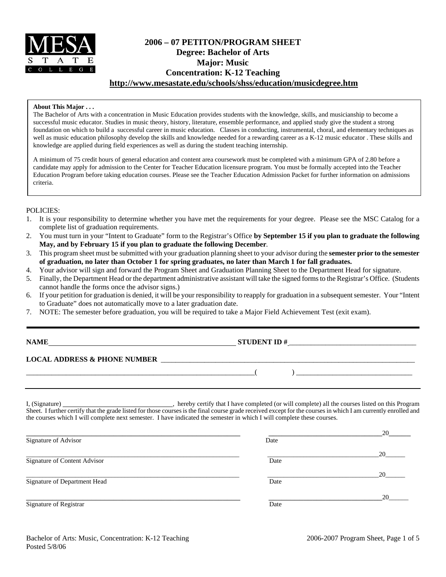

# **2006 – 07 PETITON/PROGRAM SHEET Degree: Bachelor of Arts Major: Music Concentration: K-12 Teaching http://www.mesastate.edu/schools/shss/education/musicdegree.htm**

### **About This Major . . .**

The Bachelor of Arts with a concentration in Music Education provides students with the knowledge, skills, and musicianship to become a successful music educator. Studies in music theory, history, literature, ensemble performance, and applied study give the student a strong foundation on which to build a successful career in music education. Classes in conducting, instrumental, choral, and elementary techniques as well as music education philosophy develop the skills and knowledge needed for a rewarding career as a K-12 music educator . These skills and knowledge are applied during field experiences as well as during the student teaching internship.

A minimum of 75 credit hours of general education and content area coursework must be completed with a minimum GPA of 2.80 before a candidate may apply for admission to the Center for Teacher Education licensure program. You must be formally accepted into the Teacher Education Program before taking education courses. Please see the Teacher Education Admission Packet for further information on admissions criteria.

### POLICIES:

- 1. It is your responsibility to determine whether you have met the requirements for your degree. Please see the MSC Catalog for a complete list of graduation requirements.
- 2. You must turn in your "Intent to Graduate" form to the Registrar's Office **by September 15 if you plan to graduate the following May, and by February 15 if you plan to graduate the following December**.
- 3. This program sheet must be submitted with your graduation planning sheet to your advisor during the **semester prior to the semester of graduation, no later than October 1 for spring graduates, no later than March 1 for fall graduates.**
- 4. Your advisor will sign and forward the Program Sheet and Graduation Planning Sheet to the Department Head for signature.
- 5. Finally, the Department Head or the department administrative assistant will take the signed forms to the Registrar's Office. (Students cannot handle the forms once the advisor signs.)
- 6. If your petition for graduation is denied, it will be your responsibility to reapply for graduation in a subsequent semester. Your "Intent to Graduate" does not automatically move to a later graduation date.
- 7. NOTE: The semester before graduation, you will be required to take a Major Field Achievement Test (exit exam).

**NAME STUDENT ID #** \_\_\_\_\_\_\_\_\_\_\_\_\_\_\_\_\_\_\_\_\_\_\_\_\_\_\_\_\_\_\_\_\_\_\_

## **LOCAL ADDRESS & PHONE NUMBER** \_\_\_\_\_\_\_\_\_\_\_\_\_\_\_\_\_\_\_\_\_\_\_\_\_\_\_\_\_\_\_\_\_\_\_\_\_\_\_\_\_\_\_\_\_\_\_\_\_\_\_\_\_\_\_\_\_\_\_\_\_\_\_\_\_\_\_\_\_\_

I, (Signature) \_\_\_\_\_\_\_\_\_\_\_\_\_\_\_\_\_\_\_\_\_\_\_\_\_\_\_\_\_\_, hereby certify that I have completed (or will complete) all the courses listed on this Program Sheet. I further certify that the grade listed for those courses is the final course grade received except for the courses in which I am currently enrolled and the courses which I will complete next semester. I have indicated the semester in which I will complete these courses.

|      | 20 |
|------|----|
| Date |    |
|      | 20 |
| Date |    |
|      | 20 |
| Date |    |
|      | 20 |
| Date |    |
|      |    |

\_\_\_\_\_\_\_\_\_\_\_\_\_\_\_\_\_\_\_\_\_\_\_\_\_\_\_\_\_\_\_\_\_\_\_\_\_\_\_\_\_\_\_\_\_\_\_\_\_\_\_\_\_\_\_\_\_\_\_\_\_\_\_( ) \_\_\_\_\_\_\_\_\_\_\_\_\_\_\_\_\_\_\_\_\_\_\_\_\_\_\_\_\_\_\_\_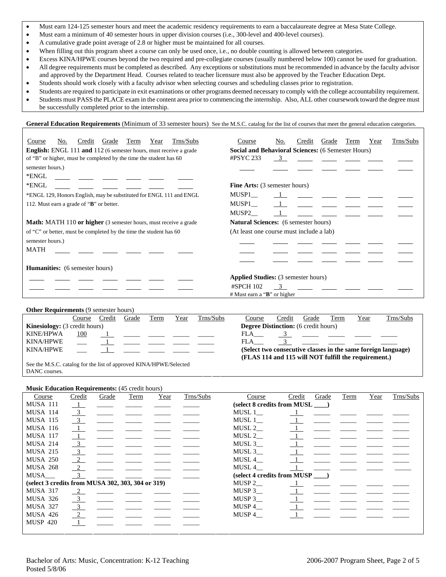- Must earn 124-125 semester hours and meet the academic residency requirements to earn a baccalaureate degree at Mesa State College.
- Must earn a minimum of 40 semester hours in upper division courses (i.e., 300-level and 400-level courses).
- A cumulative grade point average of 2.8 or higher must be maintained for all courses.
- When filling out this program sheet a course can only be used once, i.e., no double counting is allowed between categories.
- Excess KINA/HPWE courses beyond the two required and pre-collegiate courses (usually numbered below 100) cannot be used for graduation.
- All degree requirements must be completed as described. Any exceptions or substitutions must be recommended in advance by the faculty advisor and approved by the Department Head. Courses related to teacher licensure must also be approved by the Teacher Education Dept.
- Students should work closely with a faculty advisor when selecting courses and scheduling classes prior to registration.
- Students are required to participate in exit examinations or other programs deemed necessary to comply with the college accountability requirement. • Students must PASS the PLACE exam in the content area prior to commencing the internship. Also, ALL other coursework toward the degree must be successfully completed prior to the internship.

**General Education Requirements** (Minimum of 33 semester hours) See the M.S.C. catalog for the list of courses that meet the general education categories.

| Trns/Subs<br>No.<br>Grade<br>Term<br>Credit<br>Year<br>Course                  | Trns/Subs<br>No.<br>Grade<br>Term<br>Year<br>Course<br>Credit |  |  |  |  |  |  |  |
|--------------------------------------------------------------------------------|---------------------------------------------------------------|--|--|--|--|--|--|--|
| <b>English:</b> ENGL 111 and 112 (6 semester hours, must receive a grade       | <b>Social and Behavioral Sciences: (6 Semester Hours)</b>     |  |  |  |  |  |  |  |
| of "B" or higher, must be completed by the time the student has 60             | $\#$ PSYC 233<br>$\overline{\mathbf{3}}$                      |  |  |  |  |  |  |  |
| semester hours.)                                                               |                                                               |  |  |  |  |  |  |  |
| *ENGL                                                                          |                                                               |  |  |  |  |  |  |  |
| *ENGL                                                                          | <b>Fine Arts:</b> (3 semester hours)                          |  |  |  |  |  |  |  |
| *ENGL 129, Honors English, may be substituted for ENGL 111 and ENGL            | MUSP1                                                         |  |  |  |  |  |  |  |
| 112. Must earn a grade of "B" or better.                                       | MUSP1                                                         |  |  |  |  |  |  |  |
|                                                                                | MUSP2                                                         |  |  |  |  |  |  |  |
| <b>Math:</b> MATH 110 <b>or higher</b> (3 semester hours, must receive a grade | <b>Natural Sciences:</b> (6 semester hours)                   |  |  |  |  |  |  |  |
| of "C" or better, must be completed by the time the student has 60             | (At least one course must include a lab)                      |  |  |  |  |  |  |  |
| semester hours.)                                                               |                                                               |  |  |  |  |  |  |  |
| <b>MATH</b>                                                                    |                                                               |  |  |  |  |  |  |  |
|                                                                                |                                                               |  |  |  |  |  |  |  |
| <b>Humanities:</b> (6 semester hours)                                          |                                                               |  |  |  |  |  |  |  |
|                                                                                | <b>Applied Studies:</b> (3 semester hours)                    |  |  |  |  |  |  |  |
|                                                                                | #SPCH 102<br>$\mathcal{R}$                                    |  |  |  |  |  |  |  |
|                                                                                | # Must earn a "B" or higher                                   |  |  |  |  |  |  |  |

#### **Other Requirements (9 semester hours)**

|                                      | Course | Credit | Grade | Term | Year | Trns/Subs | Course                                               | Credit | Grade | Term | Year | Trns/Subs                                                     |
|--------------------------------------|--------|--------|-------|------|------|-----------|------------------------------------------------------|--------|-------|------|------|---------------------------------------------------------------|
| <b>Kinesiology:</b> (3 credit hours) |        |        |       |      |      |           | <b>Degree Distinction:</b> (6 credit hours)          |        |       |      |      |                                                               |
| <b>KINE/HPWA</b>                     | 100    |        |       |      |      |           | FLA                                                  |        |       |      |      |                                                               |
| KINA/HPWE                            |        |        |       |      |      |           | FLA                                                  |        |       |      |      |                                                               |
| KINA/HPWE                            |        |        |       |      |      |           |                                                      |        |       |      |      | (Select two consecutive classes in the same foreign language) |
|                                      |        |        |       |      |      |           | (FLAS 114 and 115 will NOT fulfill the requirement.) |        |       |      |      |                                                               |
|                                      | .      |        |       |      |      |           |                                                      |        |       |      |      |                                                               |

See the M.S.C. catalog for the list of approved KINA/HPWE/Selected DANC courses.

**Music Education Requirements:** (45 credit hours)

| Course                                            | Credit                    | Grade | Term | Year | Trns/Subs | Course                       | Credit | Grade | Term | Year | Trns/Subs |
|---------------------------------------------------|---------------------------|-------|------|------|-----------|------------------------------|--------|-------|------|------|-----------|
| <b>MUSA 111</b>                                   |                           |       |      |      |           | (select 8 credits from MUSL) |        |       |      |      |           |
| <b>MUSA 114</b>                                   | $\overline{3}$            |       |      |      |           | MUSL 1                       |        |       |      |      |           |
| <b>MUSA 115</b>                                   | $\overline{\mathbf{3}}$   |       |      |      |           | MUSL 1                       |        |       |      |      |           |
| <b>MUSA 116</b>                                   | $\perp$                   |       |      |      |           | MUSL 2                       |        |       |      |      |           |
| <b>MUSA 117</b>                                   | $\perp$                   |       |      |      |           | MUSL $2$ <sub>—</sub>        |        |       |      |      |           |
| <b>MUSA 214</b>                                   | $\overline{\phantom{0}3}$ |       |      |      |           | MUSL 3                       |        |       |      |      |           |
| <b>MUSA 215</b>                                   | $\frac{3}{2}$             |       |      |      |           | MUSL 3                       |        |       |      |      |           |
| <b>MUSA 250</b>                                   | $\overline{\phantom{0}2}$ |       |      |      |           | MUSL 4                       |        |       |      |      |           |
| <b>MUSA 268</b>                                   | $\frac{2}{2}$             |       |      |      |           | MUSL 4                       |        |       |      |      |           |
| MUSA                                              | $\overline{\mathbf{3}}$   |       |      |      |           | (select 4 credits from MUSP) |        |       |      |      |           |
| (select 3 credits from MUSA 302, 303, 304 or 319) |                           |       |      |      |           | MUSP $2$ <sub>—</sub>        |        |       |      |      |           |
| <b>MUSA 317</b>                                   | 2                         |       |      |      |           | MUSP 3                       |        |       |      |      |           |
| <b>MUSA 326</b>                                   | $\overline{\phantom{0}3}$ |       |      |      |           | MUSP $3$                     |        |       |      |      |           |
| <b>MUSA 327</b>                                   | $\overline{\phantom{0}3}$ |       |      |      |           | MUSP 4                       |        |       |      |      |           |
| <b>MUSA 426</b>                                   | $\frac{2}{2}$             |       |      |      |           | MUSP 4                       |        |       |      |      |           |
| <b>MUSP 420</b>                                   | $\mathbf{1}$              |       |      |      |           |                              |        |       |      |      |           |
|                                                   |                           |       |      |      |           |                              |        |       |      |      |           |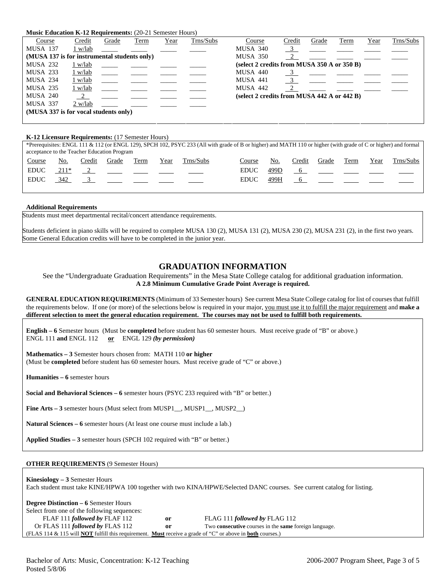#### **Music Education K-12 Requirements:** (20-21 Semester Hours)

| Course                                       | Credit    | Grade | Term | Year | Trns/Subs | Course                                      | Credit | Grade | <b>Term</b> | Year | Trns/Subs |
|----------------------------------------------|-----------|-------|------|------|-----------|---------------------------------------------|--------|-------|-------------|------|-----------|
| <b>MUSA 137</b>                              | 1 w/lab   |       |      |      |           | <b>MUSA 340</b>                             |        |       |             |      |           |
| (MUSA 137 is for instrumental students only) |           |       |      |      |           | MUSA 350                                    |        |       |             |      |           |
| <b>MUSA 232</b>                              | 1 w/lab   |       |      |      |           | (select 2 credits from MUSA 350 A or 350 B) |        |       |             |      |           |
| MUSA 233                                     | $1$ w/lab |       |      |      |           | <b>MUSA 440</b>                             |        |       |             |      |           |
| <b>MUSA 234</b>                              | 1 w/lab   |       |      |      |           | <b>MUSA 441</b>                             |        |       |             |      |           |
| <b>MUSA 235</b>                              | 1 w/lab   |       |      |      |           | <b>MUSA 442</b>                             |        |       |             |      |           |
| <b>MUSA 240</b>                              |           |       |      |      |           | (select 2 credits from MUSA 442 A or 442 B) |        |       |             |      |           |
| <b>MUSA 337</b>                              | 2 w/lab   |       |      |      |           |                                             |        |       |             |      |           |
| (MUSA 337 is for vocal students only)        |           |       |      |      |           |                                             |        |       |             |      |           |
|                                              |           |       |      |      |           |                                             |        |       |             |      |           |

#### **K-12 Licensure Requirements:** (17 Semester Hours)

\*Prerequisites: ENGL 111 & 112 (or ENGL 129), SPCH 102, PSYC 233 (All with grade of B or higher) and MATH 110 or higher (with grade of C or higher) and formal acceptance to the Teacher Education Program Course No. Credit Grade Term Year Trns/Subs Course No. Credit Grade Term Year Trns/Subs EDUC  $211^*$  2 - - - - - - EDUC 499D 6 EDUC 342 3 \_\_\_\_ \_\_\_ \_\_\_ \_\_\_ EDUC 499H 6

#### **Additional Requirements**

Students must meet departmental recital/concert attendance requirements.

Students deficient in piano skills will be required to complete MUSA 130 (2), MUSA 131 (2), MUSA 230 (2), MUSA 231 (2), in the first two years. Some General Education credits will have to be completed in the junior year.

## **GRADUATION INFORMATION**

See the "Undergraduate Graduation Requirements" in the Mesa State College catalog for additional graduation information. **A 2.8 Minimum Cumulative Grade Point Average is required.**

**GENERAL EDUCATION REQUIREMENTS** (Minimum of 33 Semester hours) See current Mesa State College catalog for list of courses that fulfill the requirements below. If one (or more) of the selections below is required in your major, you must use it to fulfill the major requirement and **make a different selection to meet the general education requirement. The courses may not be used to fulfill both requirements.**

**English – 6** Semester hours (Must be **completed** before student has 60 semester hours. Must receive grade of "B" or above.) ENGL 111 **and** ENGL 112 **or** ENGL 129 *(by permission)*

**Mathematics – 3** Semester hours chosen from: MATH 110 **or higher** (Must be **completed** before student has 60 semester hours. Must receive grade of "C" or above.)

**Humanities – 6** semester hours

**Social and Behavioral Sciences – 6** semester hours (PSYC 233 required with "B" or better.)

Fine Arts – 3 semester hours (Must select from MUSP1\_, MUSP1\_, MUSP2\_)

**Natural Sciences – 6** semester hours (At least one course must include a lab.)

**Applied Studies – 3** semester hours (SPCH 102 required with "B" or better.)

#### **OTHER REQUIREMENTS** (9 Semester Hours)

**Kinesiology – 3** Semester Hours Each student must take KINE/HPWA 100 together with two KINA/HPWE/Selected DANC courses. See current catalog for listing.

| <b>Degree Distinction – 6 Semester Hours</b>                                                                                   |    |                                                                     |
|--------------------------------------------------------------------------------------------------------------------------------|----|---------------------------------------------------------------------|
| Select from one of the following sequences:                                                                                    |    |                                                                     |
| FLAF 111 followed by FLAF 112                                                                                                  | or | FLAG 111 followed by FLAG 112                                       |
| Or FLAS 111 <i>followed by</i> FLAS 112                                                                                        | or | Two <b>consecutive</b> courses in the <b>same</b> foreign language. |
| (FLAS 114 & 115 will <b>NOT</b> fulfill this requirement. <b>Must</b> receive a grade of "C" or above in <b>both</b> courses.) |    |                                                                     |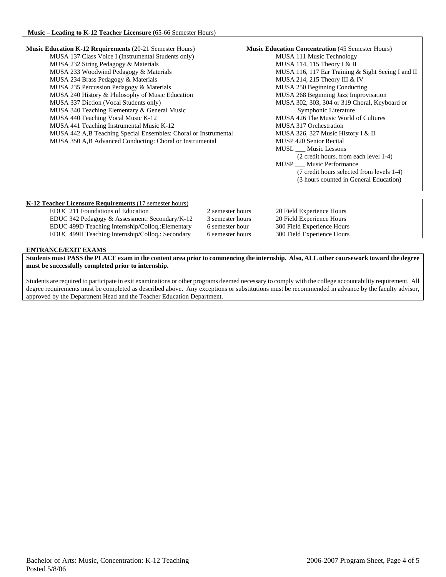| <b>Music Education K-12 Requirements (20-21 Semester Hours)</b> | <b>Music Education Concentration (45 Semester Hours)</b> |
|-----------------------------------------------------------------|----------------------------------------------------------|
| MUSA 137 Class Voice I (Instrumental Students only)             | MUSA 111 Music Technology                                |
| MUSA 232 String Pedagogy & Materials                            | MUSA 114, 115 Theory I & II                              |
| MUSA 233 Woodwind Pedagogy & Materials                          | MUSA 116, 117 Ear Training & Sight Seeing I and II       |
| MUSA 234 Brass Pedagogy & Materials                             | MUSA 214, 215 Theory III & IV                            |
| MUSA 235 Percussion Pedagogy & Materials                        | MUSA 250 Beginning Conducting                            |
| MUSA 240 History & Philosophy of Music Education                | MUSA 268 Beginning Jazz Improvisation                    |
| MUSA 337 Diction (Vocal Students only)                          | MUSA 302, 303, 304 or 319 Choral, Keyboard or            |
| MUSA 340 Teaching Elementary & General Music                    | Symphonic Literature                                     |
| MUSA 440 Teaching Vocal Music K-12                              | MUSA 426 The Music World of Cultures                     |
| MUSA 441 Teaching Instrumental Music K-12                       | MUSA 317 Orchestration                                   |
| MUSA 442 A,B Teaching Special Ensembles: Choral or Instrumental | MUSA 326, 327 Music History I & II                       |
| MUSA 350 A,B Advanced Conducting: Choral or Instrumental        | <b>MUSP 420 Senior Recital</b>                           |
|                                                                 | MUSL ___ Music Lessons                                   |
|                                                                 | (2 credit hours. from each level 1-4)                    |
|                                                                 | MUSP __ Music Performance                                |
|                                                                 | (7 credit hours selected from levels 1-4)                |
|                                                                 | (3 hours counted in General Education)                   |
|                                                                 |                                                          |
|                                                                 |                                                          |
| K-12 Teacher Licensure Requirements (17 semester hours)         |                                                          |

| EDUC 211 Foundations of Education                 | 2 semester hours | 20 Field Experience Hours  |  |
|---------------------------------------------------|------------------|----------------------------|--|
| EDUC 342 Pedagogy & Assessment: Secondary/K-12    | 3 semester hours | 20 Field Experience Hours  |  |
| EDUC 499D Teaching Internship/Colloq.: Elementary | 6 semester hour  | 300 Field Experience Hours |  |
| EDUC 499H Teaching Internship/Collog.: Secondary  | 6 semester hours | 300 Field Experience Hours |  |

### **ENTRANCE/EXIT EXAMS**

**Students must PASS the PLACE exam in the content area prior to commencing the internship. Also, ALL other coursework toward the degree must be successfully completed prior to internship.** 

Students are required to participate in exit examinations or other programs deemed necessary to comply with the college accountability requirement. All degree requirements must be completed as described above. Any exceptions or substitutions must be recommended in advance by the faculty advisor, approved by the Department Head and the Teacher Education Department.